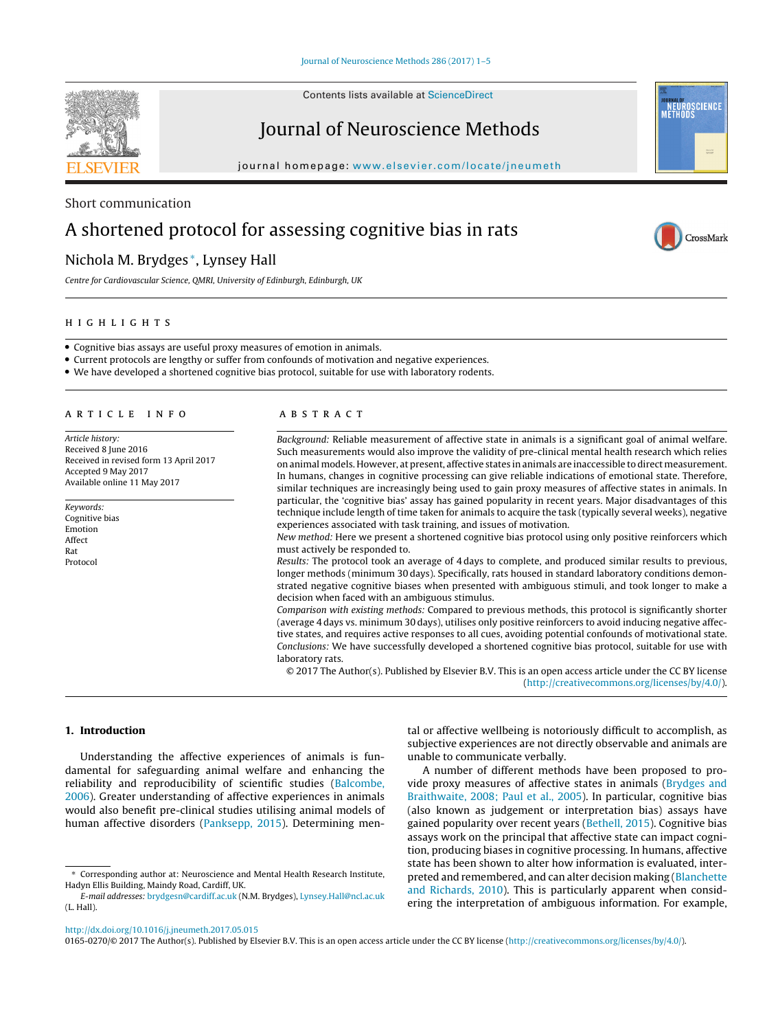

Contents lists available at [ScienceDirect](http://www.sciencedirect.com/science/journal/01650270)

# Journal of Neuroscience Methods

iournal homepage: www.elsevier.com/locate/ineumeth



CrossMark

# Short communication

# A shortened protocol for assessing cognitive bias in rats

# Nichola M. Brydges <sup>∗</sup>, Lynsey Hall

Centre for Cardiovascular Science, QMRI, University of Edinburgh, Edinburgh, UK

• Cognitive bias assays are useful proxy measures of emotion in animals.

• Current protocols are lengthy or suffer from confounds of motivation and negative experiences.

• We have developed a shortened cognitive bias protocol, suitable for use with laboratory rodents.

Article history: Received 8 June 2016 Received in revised form 13 April 2017 Accepted 9 May 2017 Available online 11 May 2017

Keywords: Cognitive bias Emotion Affect Rat Protocol

Background: Reliable measurement of affective state in animals is a significant goal of animal welfare. Such measurements would also improve the validity of pre-clinical mental health research which relies on animal models. However, at present, affective states in animals are inaccessible to direct measurement. In humans, changes in cognitive processing can give reliable indications of emotional state. Therefore, similar techniques are increasingly being used to gain proxy measures of affective states in animals. In particular, the 'cognitive bias' assay has gained popularity in recent years. Major disadvantages of this technique include length of time taken for animals to acquire the task (typically several weeks), negative experiences associated with task training, and issues of motivation.

New method: Here we present a shortened cognitive bias protocol using only positive reinforcers which must actively be responded to.

Results: The protocol took an average of 4 days to complete, and produced similar results to previous, longer methods (minimum 30 days). Specifically, rats housed in standard laboratory conditions demonstrated negative cognitive biases when presented with ambiguous stimuli, and took longer to make a decision when faced with an ambiguous stimulus.

Comparison with existing methods: Compared to previous methods, this protocol is significantly shorter (average 4 days vs. minimum 30 days), utilises only positive reinforcers to avoid inducing negative affective states, and requires active responses to all cues, avoiding potential confounds of motivational state. Conclusions: We have successfully developed a shortened cognitive bias protocol, suitable for use with laboratory rats.

© 2017 The Author(s). Published by Elsevier B.V. This is an open access article under the CC BY license [\(http://creativecommons.org/licenses/by/4.0/](http://creativecommons.org/licenses/by/4.0/)).

# **1. Introduction**

Understanding the affective experiences of animals is fundamental for safeguarding animal welfare and enhancing the reliability and reproducibility of scientific studies [\(Balcombe,](#page-4-0) [2006\).](#page-4-0) Greater understanding of affective experiences in animals would also benefit pre-clinical studies utilising animal models of human affective disorders ([Panksepp,](#page-4-0) [2015\).](#page-4-0) Determining mental or affective wellbeing is notoriously difficult to accomplish, as subjective experiences are not directly observable and animals are unable to communicate verbally.

A number of different methods have been proposed to provide proxy measures of affective states in animals ([Brydges](#page-4-0) [and](#page-4-0) [Braithwaite,](#page-4-0) [2008;](#page-4-0) [Paul](#page-4-0) et [al.,](#page-4-0) [2005\).](#page-4-0) In particular, cognitive bias (also known as judgement or interpretation bias) assays have gained popularity over recent years ([Bethell,](#page-4-0) [2015\).](#page-4-0) Cognitive bias assays work on the principal that affective state can impact cognition, producing biases in cognitive processing. In humans, affective state has been shown to alter how information is evaluated, interpreted and remembered, and can alter decision making [\(Blanchette](#page-4-0) [and](#page-4-0) [Richards,](#page-4-0) [2010\).](#page-4-0) This is particularly apparent when considering the interpretation of ambiguous information. For example,

[http://dx.doi.org/10.1016/j.jneumeth.2017.05.015](dx.doi.org/10.1016/j.jneumeth.2017.05.015)

0165-0270/© 2017 The Author(s). Published by Elsevier B.V. This is an open access article under the CC BY license ([http://creativecommons.org/licenses/by/4.0/\)](http://creativecommons.org/licenses/by/4.0/).

<sup>∗</sup> Corresponding author at: Neuroscience and Mental Health Research Institute, Hadyn Ellis Building, Maindy Road, Cardiff, UK.

E-mail addresses: [brydgesn@cardiff.ac.uk](mailto:brydgesn@cardiff.ac.uk) (N.M. Brydges), [Lynsey.Hall@ncl.ac.uk](mailto:Lynsey.Hall@ncl.ac.uk) (L. Hall).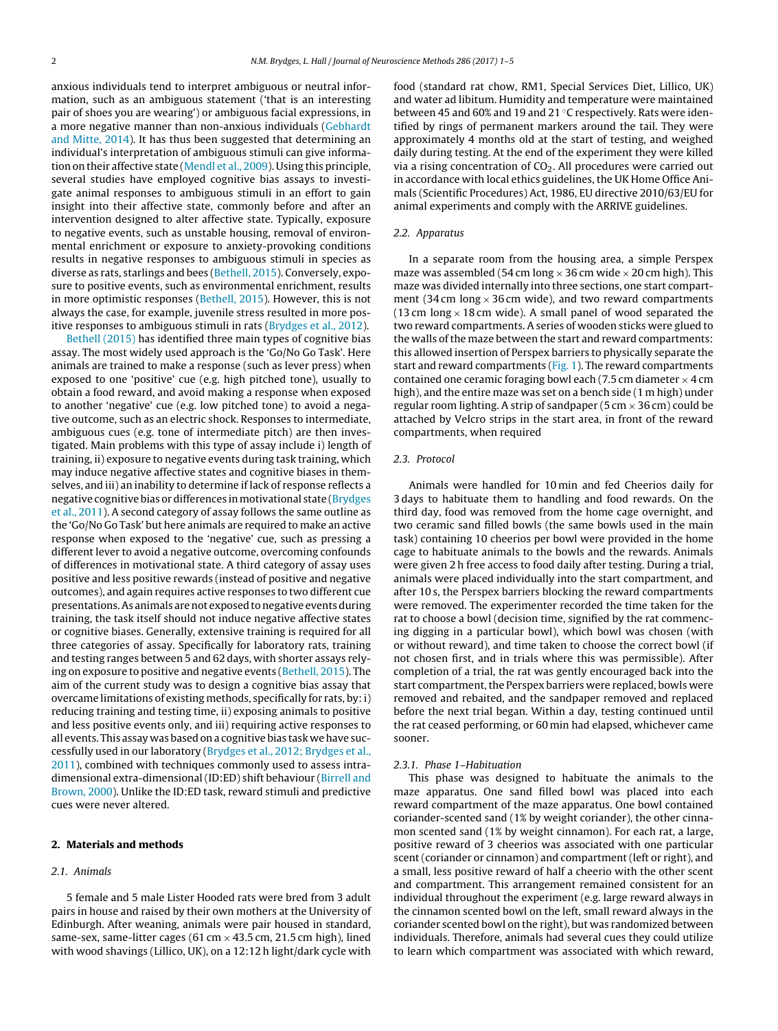anxious individuals tend to interpret ambiguous or neutral information, such as an ambiguous statement ('that is an interesting pair of shoes you are wearing') or ambiguous facial expressions, in a more negative manner than non-anxious individuals ([Gebhardt](#page-4-0) [and](#page-4-0) [Mitte,](#page-4-0) [2014\).](#page-4-0) It has thus been suggested that determining an individual's interpretation of ambiguous stimuli can give information on their affective state [\(Mendl](#page-4-0) et [al.,](#page-4-0) [2009\).](#page-4-0) Using this principle, several studies have employed cognitive bias assays to investigate animal responses to ambiguous stimuli in an effort to gain insight into their affective state, commonly before and after an intervention designed to alter affective state. Typically, exposure to negative events, such as unstable housing, removal of environmental enrichment or exposure to anxiety-provoking conditions results in negative responses to ambiguous stimuli in species as diverse as rats, starlings and bees [\(Bethell,](#page-4-0) [2015\).](#page-4-0) Conversely, exposure to positive events, such as environmental enrichment, results in more optimistic responses ([Bethell,](#page-4-0) [2015\).](#page-4-0) However, this is not always the case, for example, juvenile stress resulted in more positive responses to ambiguous stimuli in rats [\(Brydges](#page-4-0) et [al.,](#page-4-0) [2012\).](#page-4-0)

[Bethell](#page-4-0) [\(2015\)](#page-4-0) has identified three main types of cognitive bias assay. The most widely used approach is the 'Go/No Go Task'. Here animals are trained to make a response (such as lever press) when exposed to one 'positive' cue (e.g. high pitched tone), usually to obtain a food reward, and avoid making a response when exposed to another 'negative' cue (e.g. low pitched tone) to avoid a negative outcome, such as an electric shock. Responses to intermediate, ambiguous cues (e.g. tone of intermediate pitch) are then investigated. Main problems with this type of assay include i) length of training, ii) exposure to negative events during task training, which may induce negative affective states and cognitive biases in themselves, and iii) an inability to determine if lack of response reflects a negative cognitive bias or differences in motivational state [\(Brydges](#page-4-0) et [al.,](#page-4-0) [2011\).](#page-4-0) A second category of assay follows the same outline as the 'Go/No Go Task' but here animals are required to make an active response when exposed to the 'negative' cue, such as pressing a different lever to avoid a negative outcome, overcoming confounds of differences in motivational state. A third category of assay uses positive and less positive rewards (instead of positive and negative outcomes), and again requires active responses to two different cue presentations. As animals are not exposed to negative events during training, the task itself should not induce negative affective states or cognitive biases. Generally, extensive training is required for all three categories of assay. Specifically for laboratory rats, training and testing ranges between 5 and 62 days, with shorter assays relying on exposure to positive and negative events ([Bethell,](#page-4-0) [2015\).](#page-4-0) The aim of the current study was to design a cognitive bias assay that overcame limitations of existing methods, specifically for rats, by:i) reducing training and testing time, ii) exposing animals to positive and less positive events only, and iii) requiring active responses to all events. This assay was based on a cognitive bias task we have successfully used in our laboratory [\(Brydges](#page-4-0) et [al.,](#page-4-0) [2012;](#page-4-0) [Brydges](#page-4-0) et [al.,](#page-4-0) [2011\),](#page-4-0) combined with techniques commonly used to assess intradimensional extra-dimensional (ID:ED) shift behaviour [\(Birrell](#page-4-0) [and](#page-4-0) [Brown,](#page-4-0) [2000\).](#page-4-0) Unlike the ID:ED task, reward stimuli and predictive cues were never altered.

# **2. Materials and methods**

# 2.1. Animals

5 female and 5 male Lister Hooded rats were bred from 3 adult pairs in house and raised by their own mothers at the University of Edinburgh. After weaning, animals were pair housed in standard, same-sex, same-litter cages (61 cm  $\times$  43.5 cm, 21.5 cm high), lined with wood shavings (Lillico, UK), on a 12:12 h light/dark cycle with

food (standard rat chow, RM1, Special Services Diet, Lillico, UK) and water ad libitum. Humidity and temperature were maintained between 45 and 60% and 19 and 21 ◦C respectively. Rats were identified by rings of permanent markers around the tail. They were approximately 4 months old at the start of testing, and weighed daily during testing. At the end of the experiment they were killed via a rising concentration of  $CO<sub>2</sub>$ . All procedures were carried out in accordance with local ethics guidelines, the UK Home Office Animals (Scientific Procedures) Act, 1986, EU directive 2010/63/EU for animal experiments and comply with the ARRIVE guidelines.

# 2.2. Apparatus

In a separate room from the housing area, a simple Perspex maze was assembled (54 cm long  $\times$  36 cm wide  $\times$  20 cm high). This maze was divided internally into three sections, one start compartment (34 cm long  $\times$  36 cm wide), and two reward compartments (13 cm long  $\times$  18 cm wide). A small panel of wood separated the two reward compartments. A series of wooden sticks were glued to the walls of the maze between the start and reward compartments: this allowed insertion of Perspex barriers to physically separate the start and reward compartments ( $Fig. 1$ ). The reward compartments contained one ceramic foraging bowl each (7.5 cm diameter  $\times$  4 cm high), and the entire maze was set on a bench side (1 m high) under regular room lighting. A strip of sandpaper (5 cm  $\times$  36 cm) could be attached by Velcro strips in the start area, in front of the reward compartments, when required

# 2.3. Protocol

Animals were handled for 10 min and fed Cheerios daily for 3 days to habituate them to handling and food rewards. On the third day, food was removed from the home cage overnight, and two ceramic sand filled bowls (the same bowls used in the main task) containing 10 cheerios per bowl were provided in the home cage to habituate animals to the bowls and the rewards. Animals were given 2 h free access to food daily after testing. During a trial, animals were placed individually into the start compartment, and after 10 s, the Perspex barriers blocking the reward compartments were removed. The experimenter recorded the time taken for the rat to choose a bowl (decision time, signified by the rat commencing digging in a particular bowl), which bowl was chosen (with or without reward), and time taken to choose the correct bowl (if not chosen first, and in trials where this was permissible). After completion of a trial, the rat was gently encouraged back into the start compartment, the Perspex barriers were replaced, bowls were removed and rebaited, and the sandpaper removed and replaced before the next trial began. Within a day, testing continued until the rat ceased performing, or 60 min had elapsed, whichever came sooner.

# 2.3.1. Phase 1–Habituation

This phase was designed to habituate the animals to the maze apparatus. One sand filled bowl was placed into each reward compartment of the maze apparatus. One bowl contained coriander-scented sand (1% by weight coriander), the other cinnamon scented sand (1% by weight cinnamon). For each rat, a large, positive reward of 3 cheerios was associated with one particular scent (coriander or cinnamon) and compartment (left or right), and a small, less positive reward of half a cheerio with the other scent and compartment. This arrangement remained consistent for an individual throughout the experiment (e.g. large reward always in the cinnamon scented bowl on the left, small reward always in the coriander scented bowl on the right), but was randomized between individuals. Therefore, animals had several cues they could utilize to learn which compartment was associated with which reward,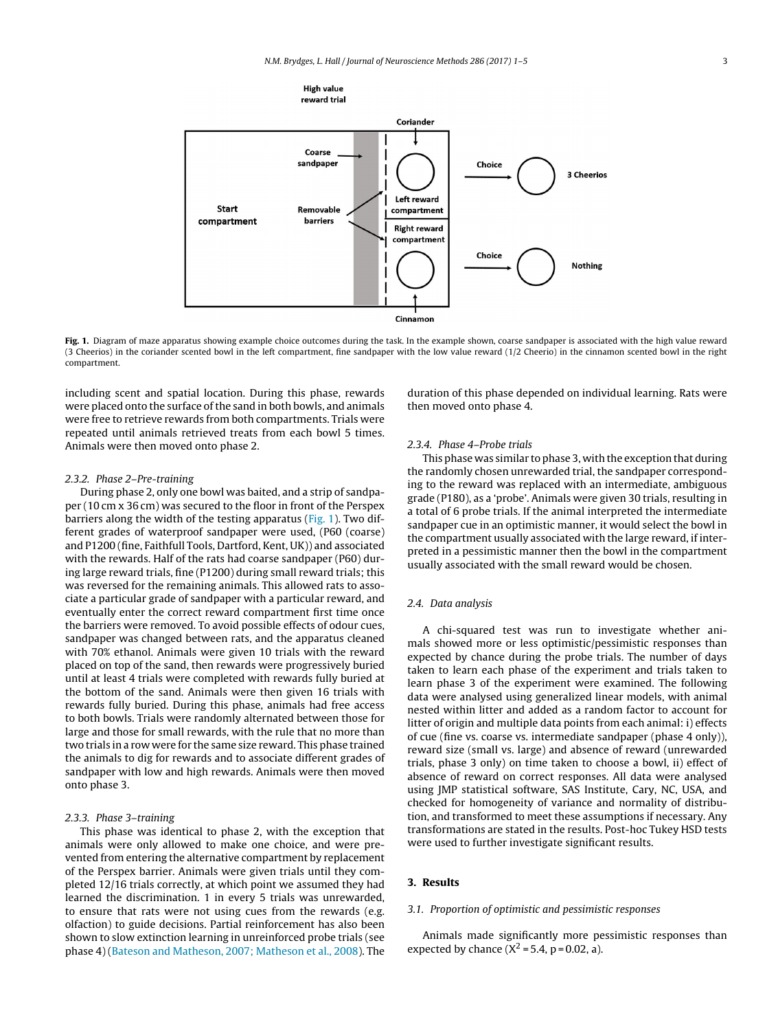<span id="page-2-0"></span>

**Fig. 1.** Diagram of maze apparatus showing example choice outcomes during the task. In the example shown, coarse sandpaper is associated with the high value reward (3 Cheerios) in the coriander scented bowl in the left compartment, fine sandpaper with the low value reward (1/2 Cheerio) in the cinnamon scented bowl in the right compartment.

including scent and spatial location. During this phase, rewards were placed onto the surface of the sand in both bowls, and animals were free to retrieve rewards from both compartments. Trials were repeated until animals retrieved treats from each bowl 5 times. Animals were then moved onto phase 2.

# 2.3.2. Phase 2–Pre-training

During phase 2, only one bowl was baited, and a strip of sandpaper (10 cm x 36 cm) was secured to the floor in front of the Perspex barriers along the width of the testing apparatus (Fig. 1). Two different grades of waterproof sandpaper were used, (P60 (coarse) and P1200 (fine, Faithfull Tools, Dartford, Kent, UK)) and associated with the rewards. Half of the rats had coarse sandpaper (P60) during large reward trials, fine (P1200) during small reward trials; this was reversed for the remaining animals. This allowed rats to associate a particular grade of sandpaper with a particular reward, and eventually enter the correct reward compartment first time once the barriers were removed. To avoid possible effects of odour cues, sandpaper was changed between rats, and the apparatus cleaned with 70% ethanol. Animals were given 10 trials with the reward placed on top of the sand, then rewards were progressively buried until at least 4 trials were completed with rewards fully buried at the bottom of the sand. Animals were then given 16 trials with rewards fully buried. During this phase, animals had free access to both bowls. Trials were randomly alternated between those for large and those for small rewards, with the rule that no more than two trials in a row were for the same size reward. This phase trained the animals to dig for rewards and to associate different grades of sandpaper with low and high rewards. Animals were then moved onto phase 3.

# 2.3.3. Phase 3–training

This phase was identical to phase 2, with the exception that animals were only allowed to make one choice, and were prevented from entering the alternative compartment by replacement of the Perspex barrier. Animals were given trials until they completed 12/16 trials correctly, at which point we assumed they had learned the discrimination. 1 in every 5 trials was unrewarded, to ensure that rats were not using cues from the rewards (e.g. olfaction) to guide decisions. Partial reinforcement has also been shown to slow extinction learning in unreinforced probe trials (see phase 4) ([Bateson](#page-4-0) [and](#page-4-0) [Matheson,](#page-4-0) [2007;](#page-4-0) [Matheson](#page-4-0) et [al.,](#page-4-0) [2008\).](#page-4-0) The duration of this phase depended on individual learning. Rats were then moved onto phase 4.

#### 2.3.4. Phase 4–Probe trials

This phase was similar to phase 3, with the exception that during the randomly chosen unrewarded trial, the sandpaper corresponding to the reward was replaced with an intermediate, ambiguous grade (P180), as a 'probe'. Animals were given 30 trials, resulting in a total of 6 probe trials. If the animal interpreted the intermediate sandpaper cue in an optimistic manner, it would select the bowl in the compartment usually associated with the large reward, if interpreted in a pessimistic manner then the bowl in the compartment usually associated with the small reward would be chosen.

# 2.4. Data analysis

A chi-squared test was run to investigate whether animals showed more or less optimistic/pessimistic responses than expected by chance during the probe trials. The number of days taken to learn each phase of the experiment and trials taken to learn phase 3 of the experiment were examined. The following data were analysed using generalized linear models, with animal nested within litter and added as a random factor to account for litter of origin and multiple data points from each animal: i) effects of cue (fine vs. coarse vs. intermediate sandpaper (phase 4 only)), reward size (small vs. large) and absence of reward (unrewarded trials, phase 3 only) on time taken to choose a bowl, ii) effect of absence of reward on correct responses. All data were analysed using JMP statistical software, SAS Institute, Cary, NC, USA, and checked for homogeneity of variance and normality of distribution, and transformed to meet these assumptions if necessary. Any transformations are stated in the results. Post-hoc Tukey HSD tests were used to further investigate significant results.

# **3. Results**

# 3.1. Proportion of optimistic and pessimistic responses

Animals made significantly more pessimistic responses than expected by chance  $(X^2 = 5.4, p = 0.02, a)$ .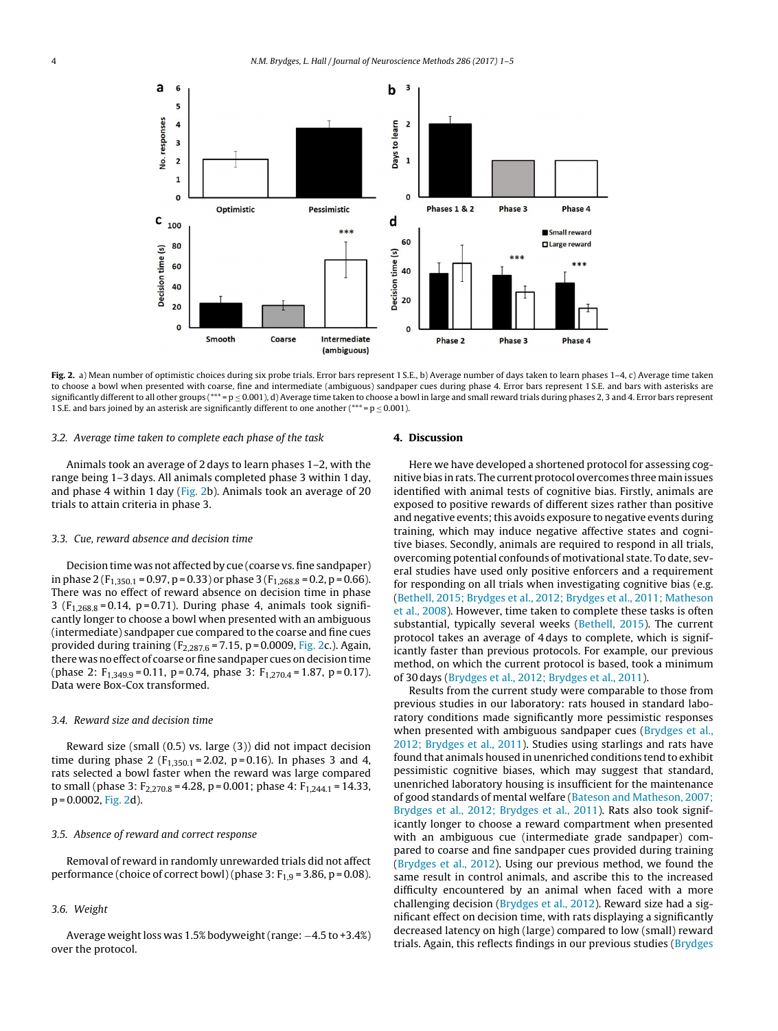

**Fig. 2.** a) Mean number of optimistic choices during six probe trials. Error bars represent 1 S.E., b) Average number of days taken to learn phases 1–4, c) Average time taken to choose a bowl when presented with coarse, fine and intermediate (ambiguous) sandpaper cues during phase 4. Error bars represent 1 S.E. and bars with asterisks are significantly different to all other groups (\*\*\* = p < 0.001), d) Average time taken to choose a bowl in large and small reward trials during phases 2, 3 and 4. Error bars represent 1 S.E. and bars joined by an asterisk are significantly different to one another (\*\*\* =  $p < 0.001$ ).

### 3.2. Average time taken to complete each phase of the task

Animals took an average of 2 days to learn phases 1–2, with the range being 1–3 days. All animals completed phase 3 within 1 day, and phase 4 within 1 day (Fig. 2b). Animals took an average of 20 trials to attain criteria in phase 3.

# 3.3. Cue, reward absence and decision time

Decision time was not affected by cue (coarse vs. fine sandpaper) in phase 2 (F<sub>1,350,1</sub> = 0.97, p = 0.33) or phase 3 (F<sub>1,268,8</sub> = 0.2, p = 0.66). There was no effect of reward absence on decision time in phase 3 ( $F_{1,268.8} = 0.14$ , p=0.71). During phase 4, animals took significantly longer to choose a bowl when presented with an ambiguous (intermediate) sandpaper cue compared to the coarse and fine cues provided during training ( $F_{2,287.6}$  = 7.15, p = 0.0009, Fig. 2c.). Again, there was no effect of coarse or fine sandpaper cues on decision time (phase 2:  $F_{1,349.9} = 0.11$ , p = 0.74, phase 3:  $F_{1,270.4} = 1.87$ , p = 0.17). Data were Box-Cox transformed.

### 3.4. Reward size and decision time

Reward size (small (0.5) vs. large (3)) did not impact decision time during phase 2 ( $F_{1,350.1}$  = 2.02, p = 0.16). In phases 3 and 4, rats selected a bowl faster when the reward was large compared to small (phase 3:  $F_{2,270.8} = 4.28$ , p = 0.001; phase 4:  $F_{1,244.1} = 14.33$ ,  $p = 0.0002$ , Fig. 2d).

# 3.5. Absence of reward and correct response

Removal of reward in randomly unrewarded trials did not affect performance (choice of correct bowl) (phase 3:  $F_{1,9}$  = 3.86, p = 0.08).

# 3.6. Weight

Average weight loss was 1.5% bodyweight (range: −4.5 to +3.4%) over the protocol.

### **4. Discussion**

Here we have developed a shortened protocol for assessing cognitive bias in rats. The current protocol overcomes three main issues identified with animal tests of cognitive bias. Firstly, animals are exposed to positive rewards of different sizes rather than positive and negative events; this avoids exposure to negative events during training, which may induce negative affective states and cognitive biases. Secondly, animals are required to respond in all trials, overcoming potential confounds of motivational state. To date, several studies have used only positive enforcers and a requirement for responding on all trials when investigating cognitive bias (e.g. [\(Bethell,](#page-4-0) [2015;](#page-4-0) [Brydges](#page-4-0) et [al.,](#page-4-0) [2012;](#page-4-0) [Brydges](#page-4-0) et [al.,](#page-4-0) [2011;](#page-4-0) [Matheson](#page-4-0) et [al.,](#page-4-0) [2008\).](#page-4-0) However, time taken to complete these tasks is often substantial, typically several weeks ([Bethell,](#page-4-0) [2015\).](#page-4-0) The current protocol takes an average of 4 days to complete, which is significantly faster than previous protocols. For example, our previous method, on which the current protocol is based, took a minimum of 30 days [\(Brydges](#page-4-0) et [al.,](#page-4-0) [2012;](#page-4-0) [Brydges](#page-4-0) et [al.,](#page-4-0) [2011\).](#page-4-0)

Results from the current study were comparable to those from previous studies in our laboratory: rats housed in standard laboratory conditions made significantly more pessimistic responses when presented with ambiguous sandpaper cues ([Brydges](#page-4-0) et [al.,](#page-4-0) [2012;](#page-4-0) [Brydges](#page-4-0) et [al.,](#page-4-0) [2011\).](#page-4-0) Studies using starlings and rats have found that animals housed in unenriched conditions tend to exhibit pessimistic cognitive biases, which may suggest that standard, unenriched laboratory housing is insufficient for the maintenance of good standards of mental welfare [\(Bateson](#page-4-0) [and](#page-4-0) [Matheson,](#page-4-0) [2007;](#page-4-0) [Brydges](#page-4-0) et [al.,](#page-4-0) [2012;](#page-4-0) [Brydges](#page-4-0) et [al.,](#page-4-0) [2011\).](#page-4-0) Rats also took significantly longer to choose a reward compartment when presented with an ambiguous cue (intermediate grade sandpaper) compared to coarse and fine sandpaper cues provided during training [\(Brydges](#page-4-0) et [al.,](#page-4-0) [2012\).](#page-4-0) Using our previous method, we found the same result in control animals, and ascribe this to the increased difficulty encountered by an animal when faced with a more challenging decision ([Brydges](#page-4-0) et [al.,](#page-4-0) [2012\).](#page-4-0) Reward size had a significant effect on decision time, with rats displaying a significantly decreased latency on high (large) compared to low (small) reward trials. Again, this reflects findings in our previous studies ([Brydges](#page-4-0)